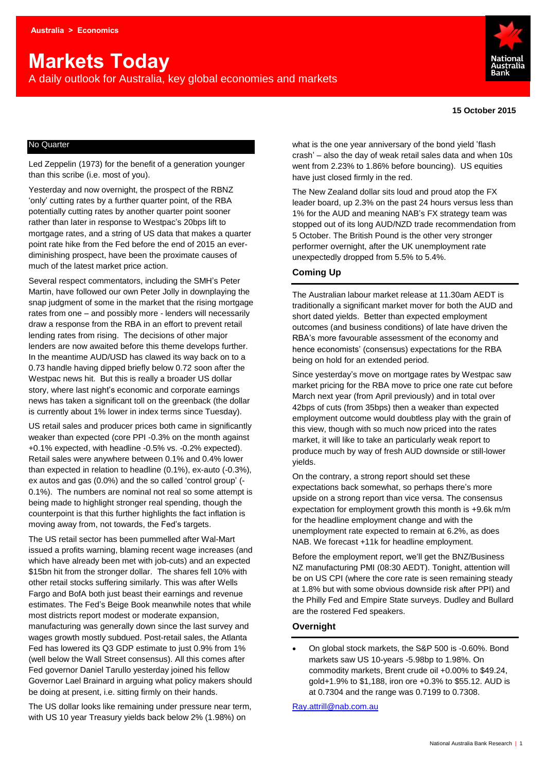# **Markets Today**

A daily outlook for Australia, key global economies and markets



#### **15 October 2015**

#### No Quarter

Led Zeppelin (1973) for the benefit of a generation younger than this scribe (i.e. most of you).

Yesterday and now overnight, the prospect of the RBNZ 'only' cutting rates by a further quarter point, of the RBA potentially cutting rates by another quarter point sooner rather than later in response to Westpac's 20bps lift to mortgage rates, and a string of US data that makes a quarter point rate hike from the Fed before the end of 2015 an everdiminishing prospect, have been the proximate causes of much of the latest market price action.

Several respect commentators, including the SMH's Peter Martin, have followed our own Peter Jolly in downplaying the snap judgment of some in the market that the rising mortgage rates from one – and possibly more - lenders will necessarily draw a response from the RBA in an effort to prevent retail lending rates from rising. The decisions of other major lenders are now awaited before this theme develops further. In the meantime AUD/USD has clawed its way back on to a 0.73 handle having dipped briefly below 0.72 soon after the Westpac news hit. But this is really a broader US dollar story, where last night's economic and corporate earnings news has taken a significant toll on the greenback (the dollar is currently about 1% lower in index terms since Tuesday).

US retail sales and producer prices both came in significantly weaker than expected (core PPI -0.3% on the month against +0.1% expected, with headline -0.5% vs. -0.2% expected). Retail sales were anywhere between 0.1% and 0.4% lower than expected in relation to headline (0.1%), ex-auto (-0.3%), ex autos and gas (0.0%) and the so called 'control group' (- 0.1%). The numbers are nominal not real so some attempt is being made to highlight stronger real spending, though the counterpoint is that this further highlights the fact inflation is moving away from, not towards, the Fed's targets.

The US retail sector has been pummelled after Wal-Mart issued a profits warning, blaming recent wage increases (and which have already been met with job-cuts) and an expected \$15bn hit from the stronger dollar. The shares fell 10% with other retail stocks suffering similarly. This was after Wells Fargo and BofA both just beast their earnings and revenue estimates. The Fed's Beige Book meanwhile notes that while most districts report modest or moderate expansion, manufacturing was generally down since the last survey and wages growth mostly subdued. Post-retail sales, the Atlanta Fed has lowered its Q3 GDP estimate to just 0.9% from 1% (well below the Wall Street consensus). All this comes after Fed governor Daniel Tarullo yesterday joined his fellow Governor Lael Brainard in arguing what policy makers should be doing at present, i.e. sitting firmly on their hands.

The US dollar looks like remaining under pressure near term, with US 10 year Treasury yields back below 2% (1.98%) on

what is the one year anniversary of the bond yield 'flash crash' – also the day of weak retail sales data and when 10s went from 2.23% to 1.86% before bouncing). US equities have just closed firmly in the red.

The New Zealand dollar sits loud and proud atop the FX leader board, up 2.3% on the past 24 hours versus less than 1% for the AUD and meaning NAB's FX strategy team was stopped out of its long AUD/NZD trade recommendation from 5 October. The British Pound is the other very stronger performer overnight, after the UK unemployment rate unexpectedly dropped from 5.5% to 5.4%.

#### **Coming Up**

The Australian labour market release at 11.30am AEDT is traditionally a significant market mover for both the AUD and short dated yields. Better than expected employment outcomes (and business conditions) of late have driven the RBA's more favourable assessment of the economy and hence economists' (consensus) expectations for the RBA being on hold for an extended period.

Since yesterday's move on mortgage rates by Westpac saw market pricing for the RBA move to price one rate cut before March next year (from April previously) and in total over 42bps of cuts (from 35bps) then a weaker than expected employment outcome would doubtless play with the grain of this view, though with so much now priced into the rates market, it will like to take an particularly weak report to produce much by way of fresh AUD downside or still-lower yields.

On the contrary, a strong report should set these expectations back somewhat, so perhaps there's more upside on a strong report than vice versa. The consensus expectation for employment growth this month is +9.6k m/m for the headline employment change and with the unemployment rate expected to remain at 6.2%, as does NAB. We forecast +11k for headline employment.

Before the employment report, we'll get the BNZ/Business NZ manufacturing PMI (08:30 AEDT). Tonight, attention will be on US CPI (where the core rate is seen remaining steady at 1.8% but with some obvious downside risk after PPI) and the Philly Fed and Empire State surveys. Dudley and Bullard are the rostered Fed speakers.

#### **Overnight**

 On global stock markets, the S&P 500 is -0.60%. Bond markets saw US 10-years -5.98bp to 1.98%. On commodity markets, Brent crude oil +0.00% to \$49.24, gold+1.9% to \$1,188, iron ore +0.3% to \$55.12. AUD is at 0.7304 and the range was 0.7199 to 0.7308.

[Ray.attrill@nab.com.au](mailto:Ray.attrill@nab.com.au)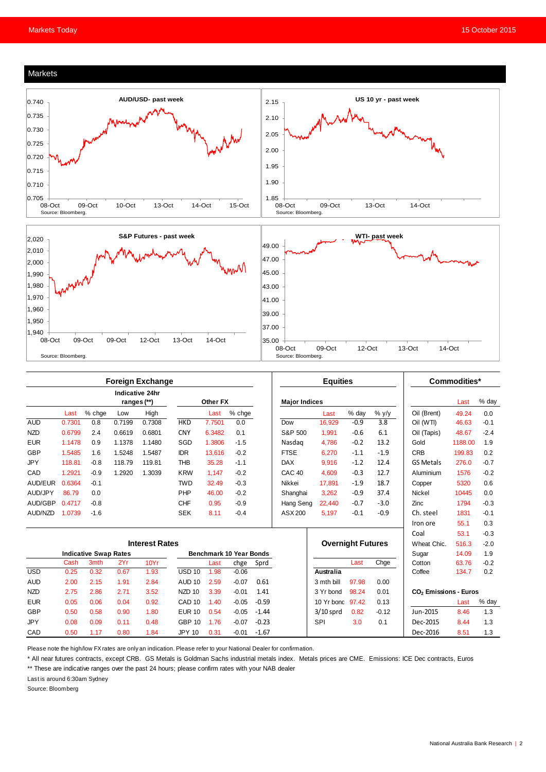

|            | <b>Foreign Exchange</b>        |                              |        |          |                                |        |                      |         | <b>Equities</b>          |                  |        |                  | Commodities*                      |         |        |
|------------|--------------------------------|------------------------------|--------|----------|--------------------------------|--------|----------------------|---------|--------------------------|------------------|--------|------------------|-----------------------------------|---------|--------|
|            | Indicative 24hr<br>ranges (**) |                              |        | Other FX |                                |        | <b>Major Indices</b> |         |                          |                  |        | Last             | % day                             |         |        |
|            | Last                           | % chge                       | Low    | High     |                                | Last   | % chge               |         |                          | Last             | % day  | $%$ y/y          | Oil (Brent)                       | 49.24   | 0.0    |
| <b>AUD</b> | 0.7301                         | 0.8                          | 0.7199 | 0.7308   | <b>HKD</b>                     | 7.7501 | 0.0                  |         | Dow                      | 16,929           | $-0.9$ | $\overline{3.8}$ | Oil (WTI)                         | 46.63   | $-0.1$ |
| <b>NZD</b> | 0.6799                         | 2.4                          | 0.6619 | 0.6801   | <b>CNY</b>                     | 6.3482 | 0.1                  |         | S&P 500                  | 1,991            | $-0.6$ | 6.1              | Oil (Tapis)                       | 48.67   | $-2.4$ |
| <b>EUR</b> | 1.1478                         | 0.9                          | 1.1378 | 1.1480   | SGD                            | 1.3806 | $-1.5$               |         | Nasdag                   | 4.786            | $-0.2$ | 13.2             | Gold                              | 1188.00 | 1.9    |
| <b>GBP</b> | 1.5485                         | 1.6                          | 1.5248 | 1.5487   | <b>IDR</b>                     | 13.616 | $-0.2$               |         | <b>FTSE</b>              | 6,270            | $-1.1$ | $-1.9$           | <b>CRB</b>                        | 199.83  | 0.2    |
| <b>JPY</b> | 118.81                         | $-0.8$                       | 118.79 | 119.81   | <b>THB</b>                     | 35.28  | $-1.1$               |         | <b>DAX</b>               | 9.916            | $-1.2$ | 12.4             | <b>GS Metals</b>                  | 276.0   | $-0.7$ |
| CAD        | 1.2921                         | $-0.9$                       | 1.2920 | 1.3039   | <b>KRW</b>                     | 1.147  | $-0.2$               |         | CAC <sub>40</sub>        | 4.609            | $-0.3$ | 12.7             | Aluminium                         | 1576    | $-0.2$ |
| AUD/EUR    | 0.6364                         | $-0.1$                       |        |          | <b>TWD</b>                     | 32.49  | $-0.3$               |         | Nikkei                   | 17.891           | $-1.9$ | 18.7             | Copper                            | 5320    | 0.6    |
| AUD/JPY    | 86.79                          | 0.0                          |        |          | PHP                            | 46.00  | $-0.2$               |         | Shanghai                 | 3,262            | $-0.9$ | 37.4             | <b>Nickel</b>                     | 10445   | 0.0    |
| AUD/GBP    | 0.4717                         | $-0.8$                       |        |          | <b>CHF</b>                     | 0.95   | $-0.9$               |         | Hang Seng                | 22.440           | $-0.7$ | $-3.0$           | Zinc                              | 1794    | $-0.3$ |
| AUD/NZD    | 1.0739                         | $-1.6$                       |        |          | <b>SEK</b>                     | 8.11   | $-0.4$               |         | ASX 200                  | 5.197            | $-0.1$ | $-0.9$           | Ch. steel                         | 1831    | $-0.1$ |
|            |                                |                              |        |          |                                |        |                      |         |                          |                  |        |                  | Iron ore                          | 55.1    | 0.3    |
|            |                                |                              |        |          |                                |        |                      |         |                          |                  |        |                  | Coal                              | 53.1    | $-0.3$ |
|            | <b>Interest Rates</b>          |                              |        |          |                                |        |                      |         | <b>Overnight Futures</b> |                  |        | Wheat Chic.      | 516.3                             | $-2.0$  |        |
|            |                                | <b>Indicative Swap Rates</b> |        |          | <b>Benchmark 10 Year Bonds</b> |        |                      |         |                          |                  |        | Sugar            | 14.09                             | 1.9     |        |
|            | Cash                           | 3 <sub>mth</sub>             | 2Yr    | 10Yr     |                                | Last   | chge                 | Sprd    |                          |                  | Last   | Chge             | Cotton                            | 63.76   | $-0.2$ |
| <b>USD</b> | 0.25                           | 0.32                         | 0.67   | 1.93     | <b>USD 10</b>                  | 1.98   | $-0.06$              |         |                          | Australia        |        |                  | Coffee                            | 134.7   | 0.2    |
| <b>AUD</b> | 2.00                           | 2.15                         | 1.91   | 2.84     | AUD <sub>10</sub>              | 2.59   | $-0.07$              | 0.61    |                          | 3 mth bill       | 97.98  | 0.00             |                                   |         |        |
| <b>NZD</b> | 2.75                           | 2.86                         | 2.71   | 3.52     | NZD <sub>10</sub>              | 3.39   | $-0.01$              | 1.41    |                          | 3 Yr bond        | 98.24  | 0.01             | CO <sub>2</sub> Emissions - Euros |         |        |
| <b>EUR</b> | 0.05                           | 0.06                         | 0.04   | 0.92     | CAD <sub>10</sub>              | 1.40   | $-0.05$              | $-0.59$ |                          | 10 Yr bond 97.42 |        | 0.13             |                                   | Last    | % day  |
| <b>GBP</b> | 0.50                           | 0.58                         | 0.90   | 1.80     | <b>EUR 10</b>                  | 0.54   | $-0.05$              | $-1.44$ |                          | $3/10$ sprd      | 0.82   | $-0.12$          | Jun-2015                          | 8.46    | 1.3    |
| <b>JPY</b> | 0.08                           | 0.09                         | 0.11   | 0.48     | <b>GBP 10</b>                  | 1.76   | $-0.07$              | $-0.23$ |                          | SPI              | 3.0    | 0.1              | Dec-2015                          | 8.44    | 1.3    |
| CAD        | 0.50                           | 1.17                         | 0.80   | 1.84     | <b>JPY 10</b>                  | 0.31   | $-0.01$              | $-1.67$ |                          |                  |        |                  | Dec-2016                          | 8.51    | 1.3    |

Please note the high/low FX rates are only an indication. Please refer to your National Dealer for confirmation.

\* All near futures contracts, except CRB. GS Metals is Goldman Sachs industrial metals index. Metals prices are CME. Emissions: ICE Dec contracts, Euros

\*\* These are indicative ranges over the past 24 hours; please confirm rates with your NAB dealer

Last is around 6:30am Sydney

Source: Bloomberg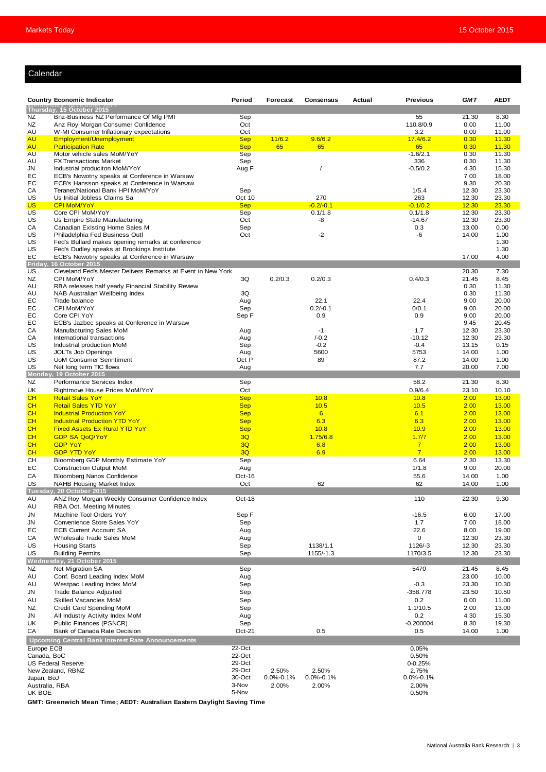#### Calendar

| <b>GMT</b><br><b>AEDT</b><br><b>Country Economic Indicator</b><br>Period<br>Forecast<br><b>Consensus</b><br>Actual<br><b>Previous</b><br>Thursday, 15 October 2015<br>Bnz-Business NZ Performance Of Mfg PMI<br>55<br>NZ<br>Sep<br>21.30<br>8.30<br><b>NZ</b><br>Oct<br>110.8/0.9<br>0.00<br>Anz Roy Morgan Consumer Confidence<br>11.00<br>Oct<br>3.2<br>AU<br>W-MI Consumer Inflationary expectations<br>0.00<br>11.00<br>11/6.2<br><b>AU</b><br>Employment/Unemployment<br><b>Sep</b><br>9.6/6.2<br>17.4/6.2<br>0.30<br>11.30<br>AU<br><b>Sep</b><br>65<br>65<br>65<br>0.30<br><b>Participation Rate</b><br>11.30<br>AU<br>Motor vehicle sales MoM/YoY<br>$-1.6/2.1$<br>Sep<br>0.30<br>11.30<br>336<br>AU<br><b>FX Transactions Market</b><br>Sep<br>0.30<br>11.30<br>Aug F<br>$-0.5/0.2$<br>JN<br>Industrial produciton MoM/YoY<br>4.30<br>15.30<br>$\prime$<br>EС<br>ECB's Nowotny speaks at Conference in Warsaw<br>7.00<br>18.00<br>EC<br>9.30<br>20.30<br>ECB's Hansson speaks at Conference in Warsaw<br>1/5.4<br>CА<br>Teranet/National Bank HPI MoM/YoY<br>Sep<br>12.30<br>23.30<br>270<br>263<br>12.30<br>US<br>Us Initial Jobless Claims Sa<br>Oct 10<br>23.30<br><b>CPI MoM/YoY</b><br><b>Sep</b><br>$-0.2/-0.1$<br>$-0.1/0.2$<br>US<br>12.30<br>23.30<br>US<br>Core CPI MoM/YoY<br>0.1/1.8<br>Sep<br>0.1/1.8<br>12.30<br>23.30<br>Oct<br>US<br>Us Empire State Manufacturing<br>-8<br>$-14.67$<br>12.30<br>23.30<br>CА<br>Canadian Existing Home Sales M<br>Sep<br>0.3<br>13.00<br>0.00<br>US<br>Oct<br>$-2$<br>-6<br>Philadelphia Fed Business Outl<br>14.00<br>1.00<br>US<br>Fed's Bullard makes opening remarks at conference<br>1.30<br>US<br>Fed's Dudley speaks at Brookings Institute<br>1.30<br>EС<br>4.00<br>ECB's Nowotny speaks at Conference in Warsaw<br>17.00<br>Friday<br><b>16 October 2015</b><br>Cleveland Fed's Mester Delivers Remarks at Event in New York<br>7.30<br>US<br>20.30<br>3Q<br>NZ<br>CPI MoM/YoY<br>0.2/0.3<br>0.2/0.3<br>0.4/0.3<br>21.45<br>8.45<br>AU<br>RBA releases half yearly Financial Stability Review<br>0.30<br>11.30<br>3Q<br>AU<br>NAB Australian Wellbeing Index<br>0.30<br>11.30<br>EC<br>Aug<br>22.1<br>22.4<br>Trade balance<br>9.00<br>20.00<br>EC<br>$0.2/-0.1$<br>CPI MoM/YoY<br>Sep<br>0/0.1<br>9.00<br>20.00<br>EC<br>Core CPI YoY<br>0.9<br>9.00<br>20.00<br>Sep F<br>0.9<br>EС<br>ECB's Jazbec speaks at Conference in Warsaw<br>9.45<br>20.45<br>CА<br>Manufacturing Sales MoM<br>Aug<br>$-1$<br>1.7<br>12.30<br>23.30<br>International transactions<br>$/-0.2$<br>$-10.12$<br>12.30<br>23.30<br>CА<br>Aug<br>US<br>Industrial production MoM<br>Sep<br>$-0.2$<br>$-0.4$<br>13.15<br>0.15<br>5600<br>5753<br>1.00<br>US<br><b>JOLTs Job Openings</b><br>Aug<br>14.00<br>US<br><b>UoM Consumer Senntiment</b><br>Oct P<br>89<br>87.2<br>14.00<br>1.00<br>7.7<br>US<br>Net long term TIC flows<br>20.00<br>7.00<br>Aug<br>Monday, 19 October 2015<br><b>NZ</b><br>Performance Services Index<br>58.2<br>8.30<br>Sep<br>21.30<br>UK<br>Rightmove House Prices MoM/YoY<br>Oct<br>0.9/6.4<br>23.10<br>10.10<br>CH<br><b>Retail Sales YoY</b><br>2.00<br><b>Sep</b><br>10.8<br>10.8<br>13.00<br>CH<br><b>Retail Sales YTD YoY</b><br><b>Sep</b><br>10.5<br>10.5<br>2.00<br>13.00<br>CН<br><b>Industrial Production YoY</b><br><b>Sep</b><br>6<br>2.00<br>13.00<br>6.1<br>CH<br><b>Industrial Production YTD YoY</b><br>6.3<br>6.3<br>2.00<br><b>Sep</b><br>13.00<br><b>CH</b><br><b>Fixed Assets Ex Rural YTD YoY</b><br>2.00<br><b>Sep</b><br>10.8<br>10.9<br>13.00<br>3Q<br>2.00<br>CН<br><b>GDP SA QoQ/YoY</b><br>1.75/6.8<br>1.7/7<br>13.00<br>CH<br><b>GDP YoY</b><br>3Q<br>2.00<br>6.8<br>$\overline{7}$<br>13.00<br>$\overline{7}$<br>3Q<br>6.9<br>CН<br>2.00<br><b>GDP YTD YoY</b><br>13.00<br>CН<br>Sep<br>2.30<br>Bloomberg GDP Monthly Estimate YoY<br>6.64<br>13.30<br><b>Construction Output MoM</b><br>9.00<br>20.00<br>EС<br>Aug<br>1/1.8<br>Oct-16<br>55.6<br>1.00<br>СA<br><b>Bloomberg Nanos Confidence</b><br>14.00<br>US<br>Oct<br>62<br>62<br>14.00<br>1.00<br>NAHB Housing Market Index<br>Tuesday, 20 October 2015<br>ANZ Roy Morgan Weekly Consumer Confidence Index<br>9.30<br>AU<br>Oct-18<br>110<br>22.30<br>RBA Oct. Meeting Minutes<br>AU<br>Machine Tool Orders YoY<br>Sep F<br>JN<br>$-16.5$<br>6.00<br>17.00<br>Convenience Store Sales YoY<br>1.7<br>7.00<br>JN<br>Sep<br>18.00<br>22.6<br>8.00<br>19.00<br>EC<br><b>ECB Current Account SA</b><br>Aug<br>$\mathbf 0$<br>СA<br>Wholesale Trade Sales MoM<br>Aug<br>12.30<br>23.30<br>1138/1.1<br>1126/-3<br>US<br><b>Housing Starts</b><br>Sep<br>12.30<br>23.30<br><b>Building Permits</b><br>1155/-1.3<br>1170/3.5<br>23.30<br>US<br>Sep<br>12.30<br>Wednesday, 21 October 2015<br><b>NZ</b><br>Net Migration SA<br>Sep<br>5470<br>21.45<br>8.45<br>23.00<br>10.00<br>AU<br>Conf. Board Leading Index MoM<br>Aug<br>$-0.3$<br>AU<br>Westpac Leading Index MoM<br>Sep<br>23.30<br>10.30<br>JN<br>Trade Balance Adjusted<br>Sep<br>-358.778<br>23.50<br>10.50<br>AU<br>Skilled Vacancies MoM<br>Sep<br>0.2<br>0.00<br>11.00<br>1.1/10.5<br>13.00<br>NZ<br>Credit Card Spending MoM<br>Sep<br>2.00<br>0.2<br>4.30<br>15.30<br>JN<br>All Industry Activity Index MoM<br>Aug<br>$-0.200004$<br>UK<br>Public Finances (PSNCR)<br>Sep<br>8.30<br>19.30<br>0.5<br>CA<br>Bank of Canada Rate Decision<br>$Oct-21$<br>0.5<br>14.00<br>1.00<br>Upcoming Central Bank Interest Rate Announcements<br>22-Oct<br>0.05%<br>Europe ECB<br>22-Oct<br>Canada, BoC<br>0.50%<br>29-Oct<br>$0 - 0.25%$<br>US Federal Reserve<br>29-Oct<br>2.75%<br>New Zealand, RBNZ<br>2.50%<br>2.50%<br>30-Oct<br>$0.0\% - 0.1\%$<br>$0.0\% - 0.1\%$<br>Japan, BoJ<br>$0.0\% - 0.1\%$<br>3-Nov<br>Australia, RBA<br>2.00%<br>2.00%<br>2.00%<br>UK BOE<br>5-Nov<br>0.50% |  |  |  |  |  |  |  |  |  |  |
|--------------------------------------------------------------------------------------------------------------------------------------------------------------------------------------------------------------------------------------------------------------------------------------------------------------------------------------------------------------------------------------------------------------------------------------------------------------------------------------------------------------------------------------------------------------------------------------------------------------------------------------------------------------------------------------------------------------------------------------------------------------------------------------------------------------------------------------------------------------------------------------------------------------------------------------------------------------------------------------------------------------------------------------------------------------------------------------------------------------------------------------------------------------------------------------------------------------------------------------------------------------------------------------------------------------------------------------------------------------------------------------------------------------------------------------------------------------------------------------------------------------------------------------------------------------------------------------------------------------------------------------------------------------------------------------------------------------------------------------------------------------------------------------------------------------------------------------------------------------------------------------------------------------------------------------------------------------------------------------------------------------------------------------------------------------------------------------------------------------------------------------------------------------------------------------------------------------------------------------------------------------------------------------------------------------------------------------------------------------------------------------------------------------------------------------------------------------------------------------------------------------------------------------------------------------------------------------------------------------------------------------------------------------------------------------------------------------------------------------------------------------------------------------------------------------------------------------------------------------------------------------------------------------------------------------------------------------------------------------------------------------------------------------------------------------------------------------------------------------------------------------------------------------------------------------------------------------------------------------------------------------------------------------------------------------------------------------------------------------------------------------------------------------------------------------------------------------------------------------------------------------------------------------------------------------------------------------------------------------------------------------------------------------------------------------------------------------------------------------------------------------------------------------------------------------------------------------------------------------------------------------------------------------------------------------------------------------------------------------------------------------------------------------------------------------------------------------------------------------------------------------------------------------------------------------------------------------------------------------------------------------------------------------------------------------------------------------------------------------------------------------------------------------------------------------------------------------------------------------------------------------------------------------------------------------------------------------------------------------------------------------------------------------------------------------------------------------------------------------------------------------------------------------------------------------------------------------------------------------------------------------------------------------------------------------------------------------------------------------------------------------------------------------------------------------------------------------------------------------------------------------------------------------------------------------------------------------------------------------------------------------------------------------------------------------------------------------------------------------------------------------------------------------------------------------------------------------------------------------------------------------------------------------------------------------------------------------------------------------------------------------------------------------------------------------------------------------------------------------------------------------------------------------------|--|--|--|--|--|--|--|--|--|--|
|                                                                                                                                                                                                                                                                                                                                                                                                                                                                                                                                                                                                                                                                                                                                                                                                                                                                                                                                                                                                                                                                                                                                                                                                                                                                                                                                                                                                                                                                                                                                                                                                                                                                                                                                                                                                                                                                                                                                                                                                                                                                                                                                                                                                                                                                                                                                                                                                                                                                                                                                                                                                                                                                                                                                                                                                                                                                                                                                                                                                                                                                                                                                                                                                                                                                                                                                                                                                                                                                                                                                                                                                                                                                                                                                                                                                                                                                                                                                                                                                                                                                                                                                                                                                                                                                                                                                                                                                                                                                                                                                                                                                                                                                                                                                                                                                                                                                                                                                                                                                                                                                                                                                                                                                                                                                                                                                                                                                                                                                                                                                                                                                                                                                                                                                                                                            |  |  |  |  |  |  |  |  |  |  |
|                                                                                                                                                                                                                                                                                                                                                                                                                                                                                                                                                                                                                                                                                                                                                                                                                                                                                                                                                                                                                                                                                                                                                                                                                                                                                                                                                                                                                                                                                                                                                                                                                                                                                                                                                                                                                                                                                                                                                                                                                                                                                                                                                                                                                                                                                                                                                                                                                                                                                                                                                                                                                                                                                                                                                                                                                                                                                                                                                                                                                                                                                                                                                                                                                                                                                                                                                                                                                                                                                                                                                                                                                                                                                                                                                                                                                                                                                                                                                                                                                                                                                                                                                                                                                                                                                                                                                                                                                                                                                                                                                                                                                                                                                                                                                                                                                                                                                                                                                                                                                                                                                                                                                                                                                                                                                                                                                                                                                                                                                                                                                                                                                                                                                                                                                                                            |  |  |  |  |  |  |  |  |  |  |
|                                                                                                                                                                                                                                                                                                                                                                                                                                                                                                                                                                                                                                                                                                                                                                                                                                                                                                                                                                                                                                                                                                                                                                                                                                                                                                                                                                                                                                                                                                                                                                                                                                                                                                                                                                                                                                                                                                                                                                                                                                                                                                                                                                                                                                                                                                                                                                                                                                                                                                                                                                                                                                                                                                                                                                                                                                                                                                                                                                                                                                                                                                                                                                                                                                                                                                                                                                                                                                                                                                                                                                                                                                                                                                                                                                                                                                                                                                                                                                                                                                                                                                                                                                                                                                                                                                                                                                                                                                                                                                                                                                                                                                                                                                                                                                                                                                                                                                                                                                                                                                                                                                                                                                                                                                                                                                                                                                                                                                                                                                                                                                                                                                                                                                                                                                                            |  |  |  |  |  |  |  |  |  |  |
|                                                                                                                                                                                                                                                                                                                                                                                                                                                                                                                                                                                                                                                                                                                                                                                                                                                                                                                                                                                                                                                                                                                                                                                                                                                                                                                                                                                                                                                                                                                                                                                                                                                                                                                                                                                                                                                                                                                                                                                                                                                                                                                                                                                                                                                                                                                                                                                                                                                                                                                                                                                                                                                                                                                                                                                                                                                                                                                                                                                                                                                                                                                                                                                                                                                                                                                                                                                                                                                                                                                                                                                                                                                                                                                                                                                                                                                                                                                                                                                                                                                                                                                                                                                                                                                                                                                                                                                                                                                                                                                                                                                                                                                                                                                                                                                                                                                                                                                                                                                                                                                                                                                                                                                                                                                                                                                                                                                                                                                                                                                                                                                                                                                                                                                                                                                            |  |  |  |  |  |  |  |  |  |  |
|                                                                                                                                                                                                                                                                                                                                                                                                                                                                                                                                                                                                                                                                                                                                                                                                                                                                                                                                                                                                                                                                                                                                                                                                                                                                                                                                                                                                                                                                                                                                                                                                                                                                                                                                                                                                                                                                                                                                                                                                                                                                                                                                                                                                                                                                                                                                                                                                                                                                                                                                                                                                                                                                                                                                                                                                                                                                                                                                                                                                                                                                                                                                                                                                                                                                                                                                                                                                                                                                                                                                                                                                                                                                                                                                                                                                                                                                                                                                                                                                                                                                                                                                                                                                                                                                                                                                                                                                                                                                                                                                                                                                                                                                                                                                                                                                                                                                                                                                                                                                                                                                                                                                                                                                                                                                                                                                                                                                                                                                                                                                                                                                                                                                                                                                                                                            |  |  |  |  |  |  |  |  |  |  |
|                                                                                                                                                                                                                                                                                                                                                                                                                                                                                                                                                                                                                                                                                                                                                                                                                                                                                                                                                                                                                                                                                                                                                                                                                                                                                                                                                                                                                                                                                                                                                                                                                                                                                                                                                                                                                                                                                                                                                                                                                                                                                                                                                                                                                                                                                                                                                                                                                                                                                                                                                                                                                                                                                                                                                                                                                                                                                                                                                                                                                                                                                                                                                                                                                                                                                                                                                                                                                                                                                                                                                                                                                                                                                                                                                                                                                                                                                                                                                                                                                                                                                                                                                                                                                                                                                                                                                                                                                                                                                                                                                                                                                                                                                                                                                                                                                                                                                                                                                                                                                                                                                                                                                                                                                                                                                                                                                                                                                                                                                                                                                                                                                                                                                                                                                                                            |  |  |  |  |  |  |  |  |  |  |
|                                                                                                                                                                                                                                                                                                                                                                                                                                                                                                                                                                                                                                                                                                                                                                                                                                                                                                                                                                                                                                                                                                                                                                                                                                                                                                                                                                                                                                                                                                                                                                                                                                                                                                                                                                                                                                                                                                                                                                                                                                                                                                                                                                                                                                                                                                                                                                                                                                                                                                                                                                                                                                                                                                                                                                                                                                                                                                                                                                                                                                                                                                                                                                                                                                                                                                                                                                                                                                                                                                                                                                                                                                                                                                                                                                                                                                                                                                                                                                                                                                                                                                                                                                                                                                                                                                                                                                                                                                                                                                                                                                                                                                                                                                                                                                                                                                                                                                                                                                                                                                                                                                                                                                                                                                                                                                                                                                                                                                                                                                                                                                                                                                                                                                                                                                                            |  |  |  |  |  |  |  |  |  |  |
|                                                                                                                                                                                                                                                                                                                                                                                                                                                                                                                                                                                                                                                                                                                                                                                                                                                                                                                                                                                                                                                                                                                                                                                                                                                                                                                                                                                                                                                                                                                                                                                                                                                                                                                                                                                                                                                                                                                                                                                                                                                                                                                                                                                                                                                                                                                                                                                                                                                                                                                                                                                                                                                                                                                                                                                                                                                                                                                                                                                                                                                                                                                                                                                                                                                                                                                                                                                                                                                                                                                                                                                                                                                                                                                                                                                                                                                                                                                                                                                                                                                                                                                                                                                                                                                                                                                                                                                                                                                                                                                                                                                                                                                                                                                                                                                                                                                                                                                                                                                                                                                                                                                                                                                                                                                                                                                                                                                                                                                                                                                                                                                                                                                                                                                                                                                            |  |  |  |  |  |  |  |  |  |  |
|                                                                                                                                                                                                                                                                                                                                                                                                                                                                                                                                                                                                                                                                                                                                                                                                                                                                                                                                                                                                                                                                                                                                                                                                                                                                                                                                                                                                                                                                                                                                                                                                                                                                                                                                                                                                                                                                                                                                                                                                                                                                                                                                                                                                                                                                                                                                                                                                                                                                                                                                                                                                                                                                                                                                                                                                                                                                                                                                                                                                                                                                                                                                                                                                                                                                                                                                                                                                                                                                                                                                                                                                                                                                                                                                                                                                                                                                                                                                                                                                                                                                                                                                                                                                                                                                                                                                                                                                                                                                                                                                                                                                                                                                                                                                                                                                                                                                                                                                                                                                                                                                                                                                                                                                                                                                                                                                                                                                                                                                                                                                                                                                                                                                                                                                                                                            |  |  |  |  |  |  |  |  |  |  |
|                                                                                                                                                                                                                                                                                                                                                                                                                                                                                                                                                                                                                                                                                                                                                                                                                                                                                                                                                                                                                                                                                                                                                                                                                                                                                                                                                                                                                                                                                                                                                                                                                                                                                                                                                                                                                                                                                                                                                                                                                                                                                                                                                                                                                                                                                                                                                                                                                                                                                                                                                                                                                                                                                                                                                                                                                                                                                                                                                                                                                                                                                                                                                                                                                                                                                                                                                                                                                                                                                                                                                                                                                                                                                                                                                                                                                                                                                                                                                                                                                                                                                                                                                                                                                                                                                                                                                                                                                                                                                                                                                                                                                                                                                                                                                                                                                                                                                                                                                                                                                                                                                                                                                                                                                                                                                                                                                                                                                                                                                                                                                                                                                                                                                                                                                                                            |  |  |  |  |  |  |  |  |  |  |
|                                                                                                                                                                                                                                                                                                                                                                                                                                                                                                                                                                                                                                                                                                                                                                                                                                                                                                                                                                                                                                                                                                                                                                                                                                                                                                                                                                                                                                                                                                                                                                                                                                                                                                                                                                                                                                                                                                                                                                                                                                                                                                                                                                                                                                                                                                                                                                                                                                                                                                                                                                                                                                                                                                                                                                                                                                                                                                                                                                                                                                                                                                                                                                                                                                                                                                                                                                                                                                                                                                                                                                                                                                                                                                                                                                                                                                                                                                                                                                                                                                                                                                                                                                                                                                                                                                                                                                                                                                                                                                                                                                                                                                                                                                                                                                                                                                                                                                                                                                                                                                                                                                                                                                                                                                                                                                                                                                                                                                                                                                                                                                                                                                                                                                                                                                                            |  |  |  |  |  |  |  |  |  |  |
|                                                                                                                                                                                                                                                                                                                                                                                                                                                                                                                                                                                                                                                                                                                                                                                                                                                                                                                                                                                                                                                                                                                                                                                                                                                                                                                                                                                                                                                                                                                                                                                                                                                                                                                                                                                                                                                                                                                                                                                                                                                                                                                                                                                                                                                                                                                                                                                                                                                                                                                                                                                                                                                                                                                                                                                                                                                                                                                                                                                                                                                                                                                                                                                                                                                                                                                                                                                                                                                                                                                                                                                                                                                                                                                                                                                                                                                                                                                                                                                                                                                                                                                                                                                                                                                                                                                                                                                                                                                                                                                                                                                                                                                                                                                                                                                                                                                                                                                                                                                                                                                                                                                                                                                                                                                                                                                                                                                                                                                                                                                                                                                                                                                                                                                                                                                            |  |  |  |  |  |  |  |  |  |  |
|                                                                                                                                                                                                                                                                                                                                                                                                                                                                                                                                                                                                                                                                                                                                                                                                                                                                                                                                                                                                                                                                                                                                                                                                                                                                                                                                                                                                                                                                                                                                                                                                                                                                                                                                                                                                                                                                                                                                                                                                                                                                                                                                                                                                                                                                                                                                                                                                                                                                                                                                                                                                                                                                                                                                                                                                                                                                                                                                                                                                                                                                                                                                                                                                                                                                                                                                                                                                                                                                                                                                                                                                                                                                                                                                                                                                                                                                                                                                                                                                                                                                                                                                                                                                                                                                                                                                                                                                                                                                                                                                                                                                                                                                                                                                                                                                                                                                                                                                                                                                                                                                                                                                                                                                                                                                                                                                                                                                                                                                                                                                                                                                                                                                                                                                                                                            |  |  |  |  |  |  |  |  |  |  |
|                                                                                                                                                                                                                                                                                                                                                                                                                                                                                                                                                                                                                                                                                                                                                                                                                                                                                                                                                                                                                                                                                                                                                                                                                                                                                                                                                                                                                                                                                                                                                                                                                                                                                                                                                                                                                                                                                                                                                                                                                                                                                                                                                                                                                                                                                                                                                                                                                                                                                                                                                                                                                                                                                                                                                                                                                                                                                                                                                                                                                                                                                                                                                                                                                                                                                                                                                                                                                                                                                                                                                                                                                                                                                                                                                                                                                                                                                                                                                                                                                                                                                                                                                                                                                                                                                                                                                                                                                                                                                                                                                                                                                                                                                                                                                                                                                                                                                                                                                                                                                                                                                                                                                                                                                                                                                                                                                                                                                                                                                                                                                                                                                                                                                                                                                                                            |  |  |  |  |  |  |  |  |  |  |
|                                                                                                                                                                                                                                                                                                                                                                                                                                                                                                                                                                                                                                                                                                                                                                                                                                                                                                                                                                                                                                                                                                                                                                                                                                                                                                                                                                                                                                                                                                                                                                                                                                                                                                                                                                                                                                                                                                                                                                                                                                                                                                                                                                                                                                                                                                                                                                                                                                                                                                                                                                                                                                                                                                                                                                                                                                                                                                                                                                                                                                                                                                                                                                                                                                                                                                                                                                                                                                                                                                                                                                                                                                                                                                                                                                                                                                                                                                                                                                                                                                                                                                                                                                                                                                                                                                                                                                                                                                                                                                                                                                                                                                                                                                                                                                                                                                                                                                                                                                                                                                                                                                                                                                                                                                                                                                                                                                                                                                                                                                                                                                                                                                                                                                                                                                                            |  |  |  |  |  |  |  |  |  |  |
|                                                                                                                                                                                                                                                                                                                                                                                                                                                                                                                                                                                                                                                                                                                                                                                                                                                                                                                                                                                                                                                                                                                                                                                                                                                                                                                                                                                                                                                                                                                                                                                                                                                                                                                                                                                                                                                                                                                                                                                                                                                                                                                                                                                                                                                                                                                                                                                                                                                                                                                                                                                                                                                                                                                                                                                                                                                                                                                                                                                                                                                                                                                                                                                                                                                                                                                                                                                                                                                                                                                                                                                                                                                                                                                                                                                                                                                                                                                                                                                                                                                                                                                                                                                                                                                                                                                                                                                                                                                                                                                                                                                                                                                                                                                                                                                                                                                                                                                                                                                                                                                                                                                                                                                                                                                                                                                                                                                                                                                                                                                                                                                                                                                                                                                                                                                            |  |  |  |  |  |  |  |  |  |  |
|                                                                                                                                                                                                                                                                                                                                                                                                                                                                                                                                                                                                                                                                                                                                                                                                                                                                                                                                                                                                                                                                                                                                                                                                                                                                                                                                                                                                                                                                                                                                                                                                                                                                                                                                                                                                                                                                                                                                                                                                                                                                                                                                                                                                                                                                                                                                                                                                                                                                                                                                                                                                                                                                                                                                                                                                                                                                                                                                                                                                                                                                                                                                                                                                                                                                                                                                                                                                                                                                                                                                                                                                                                                                                                                                                                                                                                                                                                                                                                                                                                                                                                                                                                                                                                                                                                                                                                                                                                                                                                                                                                                                                                                                                                                                                                                                                                                                                                                                                                                                                                                                                                                                                                                                                                                                                                                                                                                                                                                                                                                                                                                                                                                                                                                                                                                            |  |  |  |  |  |  |  |  |  |  |
|                                                                                                                                                                                                                                                                                                                                                                                                                                                                                                                                                                                                                                                                                                                                                                                                                                                                                                                                                                                                                                                                                                                                                                                                                                                                                                                                                                                                                                                                                                                                                                                                                                                                                                                                                                                                                                                                                                                                                                                                                                                                                                                                                                                                                                                                                                                                                                                                                                                                                                                                                                                                                                                                                                                                                                                                                                                                                                                                                                                                                                                                                                                                                                                                                                                                                                                                                                                                                                                                                                                                                                                                                                                                                                                                                                                                                                                                                                                                                                                                                                                                                                                                                                                                                                                                                                                                                                                                                                                                                                                                                                                                                                                                                                                                                                                                                                                                                                                                                                                                                                                                                                                                                                                                                                                                                                                                                                                                                                                                                                                                                                                                                                                                                                                                                                                            |  |  |  |  |  |  |  |  |  |  |
|                                                                                                                                                                                                                                                                                                                                                                                                                                                                                                                                                                                                                                                                                                                                                                                                                                                                                                                                                                                                                                                                                                                                                                                                                                                                                                                                                                                                                                                                                                                                                                                                                                                                                                                                                                                                                                                                                                                                                                                                                                                                                                                                                                                                                                                                                                                                                                                                                                                                                                                                                                                                                                                                                                                                                                                                                                                                                                                                                                                                                                                                                                                                                                                                                                                                                                                                                                                                                                                                                                                                                                                                                                                                                                                                                                                                                                                                                                                                                                                                                                                                                                                                                                                                                                                                                                                                                                                                                                                                                                                                                                                                                                                                                                                                                                                                                                                                                                                                                                                                                                                                                                                                                                                                                                                                                                                                                                                                                                                                                                                                                                                                                                                                                                                                                                                            |  |  |  |  |  |  |  |  |  |  |
|                                                                                                                                                                                                                                                                                                                                                                                                                                                                                                                                                                                                                                                                                                                                                                                                                                                                                                                                                                                                                                                                                                                                                                                                                                                                                                                                                                                                                                                                                                                                                                                                                                                                                                                                                                                                                                                                                                                                                                                                                                                                                                                                                                                                                                                                                                                                                                                                                                                                                                                                                                                                                                                                                                                                                                                                                                                                                                                                                                                                                                                                                                                                                                                                                                                                                                                                                                                                                                                                                                                                                                                                                                                                                                                                                                                                                                                                                                                                                                                                                                                                                                                                                                                                                                                                                                                                                                                                                                                                                                                                                                                                                                                                                                                                                                                                                                                                                                                                                                                                                                                                                                                                                                                                                                                                                                                                                                                                                                                                                                                                                                                                                                                                                                                                                                                            |  |  |  |  |  |  |  |  |  |  |
|                                                                                                                                                                                                                                                                                                                                                                                                                                                                                                                                                                                                                                                                                                                                                                                                                                                                                                                                                                                                                                                                                                                                                                                                                                                                                                                                                                                                                                                                                                                                                                                                                                                                                                                                                                                                                                                                                                                                                                                                                                                                                                                                                                                                                                                                                                                                                                                                                                                                                                                                                                                                                                                                                                                                                                                                                                                                                                                                                                                                                                                                                                                                                                                                                                                                                                                                                                                                                                                                                                                                                                                                                                                                                                                                                                                                                                                                                                                                                                                                                                                                                                                                                                                                                                                                                                                                                                                                                                                                                                                                                                                                                                                                                                                                                                                                                                                                                                                                                                                                                                                                                                                                                                                                                                                                                                                                                                                                                                                                                                                                                                                                                                                                                                                                                                                            |  |  |  |  |  |  |  |  |  |  |
|                                                                                                                                                                                                                                                                                                                                                                                                                                                                                                                                                                                                                                                                                                                                                                                                                                                                                                                                                                                                                                                                                                                                                                                                                                                                                                                                                                                                                                                                                                                                                                                                                                                                                                                                                                                                                                                                                                                                                                                                                                                                                                                                                                                                                                                                                                                                                                                                                                                                                                                                                                                                                                                                                                                                                                                                                                                                                                                                                                                                                                                                                                                                                                                                                                                                                                                                                                                                                                                                                                                                                                                                                                                                                                                                                                                                                                                                                                                                                                                                                                                                                                                                                                                                                                                                                                                                                                                                                                                                                                                                                                                                                                                                                                                                                                                                                                                                                                                                                                                                                                                                                                                                                                                                                                                                                                                                                                                                                                                                                                                                                                                                                                                                                                                                                                                            |  |  |  |  |  |  |  |  |  |  |
|                                                                                                                                                                                                                                                                                                                                                                                                                                                                                                                                                                                                                                                                                                                                                                                                                                                                                                                                                                                                                                                                                                                                                                                                                                                                                                                                                                                                                                                                                                                                                                                                                                                                                                                                                                                                                                                                                                                                                                                                                                                                                                                                                                                                                                                                                                                                                                                                                                                                                                                                                                                                                                                                                                                                                                                                                                                                                                                                                                                                                                                                                                                                                                                                                                                                                                                                                                                                                                                                                                                                                                                                                                                                                                                                                                                                                                                                                                                                                                                                                                                                                                                                                                                                                                                                                                                                                                                                                                                                                                                                                                                                                                                                                                                                                                                                                                                                                                                                                                                                                                                                                                                                                                                                                                                                                                                                                                                                                                                                                                                                                                                                                                                                                                                                                                                            |  |  |  |  |  |  |  |  |  |  |
|                                                                                                                                                                                                                                                                                                                                                                                                                                                                                                                                                                                                                                                                                                                                                                                                                                                                                                                                                                                                                                                                                                                                                                                                                                                                                                                                                                                                                                                                                                                                                                                                                                                                                                                                                                                                                                                                                                                                                                                                                                                                                                                                                                                                                                                                                                                                                                                                                                                                                                                                                                                                                                                                                                                                                                                                                                                                                                                                                                                                                                                                                                                                                                                                                                                                                                                                                                                                                                                                                                                                                                                                                                                                                                                                                                                                                                                                                                                                                                                                                                                                                                                                                                                                                                                                                                                                                                                                                                                                                                                                                                                                                                                                                                                                                                                                                                                                                                                                                                                                                                                                                                                                                                                                                                                                                                                                                                                                                                                                                                                                                                                                                                                                                                                                                                                            |  |  |  |  |  |  |  |  |  |  |
|                                                                                                                                                                                                                                                                                                                                                                                                                                                                                                                                                                                                                                                                                                                                                                                                                                                                                                                                                                                                                                                                                                                                                                                                                                                                                                                                                                                                                                                                                                                                                                                                                                                                                                                                                                                                                                                                                                                                                                                                                                                                                                                                                                                                                                                                                                                                                                                                                                                                                                                                                                                                                                                                                                                                                                                                                                                                                                                                                                                                                                                                                                                                                                                                                                                                                                                                                                                                                                                                                                                                                                                                                                                                                                                                                                                                                                                                                                                                                                                                                                                                                                                                                                                                                                                                                                                                                                                                                                                                                                                                                                                                                                                                                                                                                                                                                                                                                                                                                                                                                                                                                                                                                                                                                                                                                                                                                                                                                                                                                                                                                                                                                                                                                                                                                                                            |  |  |  |  |  |  |  |  |  |  |
|                                                                                                                                                                                                                                                                                                                                                                                                                                                                                                                                                                                                                                                                                                                                                                                                                                                                                                                                                                                                                                                                                                                                                                                                                                                                                                                                                                                                                                                                                                                                                                                                                                                                                                                                                                                                                                                                                                                                                                                                                                                                                                                                                                                                                                                                                                                                                                                                                                                                                                                                                                                                                                                                                                                                                                                                                                                                                                                                                                                                                                                                                                                                                                                                                                                                                                                                                                                                                                                                                                                                                                                                                                                                                                                                                                                                                                                                                                                                                                                                                                                                                                                                                                                                                                                                                                                                                                                                                                                                                                                                                                                                                                                                                                                                                                                                                                                                                                                                                                                                                                                                                                                                                                                                                                                                                                                                                                                                                                                                                                                                                                                                                                                                                                                                                                                            |  |  |  |  |  |  |  |  |  |  |
|                                                                                                                                                                                                                                                                                                                                                                                                                                                                                                                                                                                                                                                                                                                                                                                                                                                                                                                                                                                                                                                                                                                                                                                                                                                                                                                                                                                                                                                                                                                                                                                                                                                                                                                                                                                                                                                                                                                                                                                                                                                                                                                                                                                                                                                                                                                                                                                                                                                                                                                                                                                                                                                                                                                                                                                                                                                                                                                                                                                                                                                                                                                                                                                                                                                                                                                                                                                                                                                                                                                                                                                                                                                                                                                                                                                                                                                                                                                                                                                                                                                                                                                                                                                                                                                                                                                                                                                                                                                                                                                                                                                                                                                                                                                                                                                                                                                                                                                                                                                                                                                                                                                                                                                                                                                                                                                                                                                                                                                                                                                                                                                                                                                                                                                                                                                            |  |  |  |  |  |  |  |  |  |  |
|                                                                                                                                                                                                                                                                                                                                                                                                                                                                                                                                                                                                                                                                                                                                                                                                                                                                                                                                                                                                                                                                                                                                                                                                                                                                                                                                                                                                                                                                                                                                                                                                                                                                                                                                                                                                                                                                                                                                                                                                                                                                                                                                                                                                                                                                                                                                                                                                                                                                                                                                                                                                                                                                                                                                                                                                                                                                                                                                                                                                                                                                                                                                                                                                                                                                                                                                                                                                                                                                                                                                                                                                                                                                                                                                                                                                                                                                                                                                                                                                                                                                                                                                                                                                                                                                                                                                                                                                                                                                                                                                                                                                                                                                                                                                                                                                                                                                                                                                                                                                                                                                                                                                                                                                                                                                                                                                                                                                                                                                                                                                                                                                                                                                                                                                                                                            |  |  |  |  |  |  |  |  |  |  |
|                                                                                                                                                                                                                                                                                                                                                                                                                                                                                                                                                                                                                                                                                                                                                                                                                                                                                                                                                                                                                                                                                                                                                                                                                                                                                                                                                                                                                                                                                                                                                                                                                                                                                                                                                                                                                                                                                                                                                                                                                                                                                                                                                                                                                                                                                                                                                                                                                                                                                                                                                                                                                                                                                                                                                                                                                                                                                                                                                                                                                                                                                                                                                                                                                                                                                                                                                                                                                                                                                                                                                                                                                                                                                                                                                                                                                                                                                                                                                                                                                                                                                                                                                                                                                                                                                                                                                                                                                                                                                                                                                                                                                                                                                                                                                                                                                                                                                                                                                                                                                                                                                                                                                                                                                                                                                                                                                                                                                                                                                                                                                                                                                                                                                                                                                                                            |  |  |  |  |  |  |  |  |  |  |
|                                                                                                                                                                                                                                                                                                                                                                                                                                                                                                                                                                                                                                                                                                                                                                                                                                                                                                                                                                                                                                                                                                                                                                                                                                                                                                                                                                                                                                                                                                                                                                                                                                                                                                                                                                                                                                                                                                                                                                                                                                                                                                                                                                                                                                                                                                                                                                                                                                                                                                                                                                                                                                                                                                                                                                                                                                                                                                                                                                                                                                                                                                                                                                                                                                                                                                                                                                                                                                                                                                                                                                                                                                                                                                                                                                                                                                                                                                                                                                                                                                                                                                                                                                                                                                                                                                                                                                                                                                                                                                                                                                                                                                                                                                                                                                                                                                                                                                                                                                                                                                                                                                                                                                                                                                                                                                                                                                                                                                                                                                                                                                                                                                                                                                                                                                                            |  |  |  |  |  |  |  |  |  |  |
|                                                                                                                                                                                                                                                                                                                                                                                                                                                                                                                                                                                                                                                                                                                                                                                                                                                                                                                                                                                                                                                                                                                                                                                                                                                                                                                                                                                                                                                                                                                                                                                                                                                                                                                                                                                                                                                                                                                                                                                                                                                                                                                                                                                                                                                                                                                                                                                                                                                                                                                                                                                                                                                                                                                                                                                                                                                                                                                                                                                                                                                                                                                                                                                                                                                                                                                                                                                                                                                                                                                                                                                                                                                                                                                                                                                                                                                                                                                                                                                                                                                                                                                                                                                                                                                                                                                                                                                                                                                                                                                                                                                                                                                                                                                                                                                                                                                                                                                                                                                                                                                                                                                                                                                                                                                                                                                                                                                                                                                                                                                                                                                                                                                                                                                                                                                            |  |  |  |  |  |  |  |  |  |  |
|                                                                                                                                                                                                                                                                                                                                                                                                                                                                                                                                                                                                                                                                                                                                                                                                                                                                                                                                                                                                                                                                                                                                                                                                                                                                                                                                                                                                                                                                                                                                                                                                                                                                                                                                                                                                                                                                                                                                                                                                                                                                                                                                                                                                                                                                                                                                                                                                                                                                                                                                                                                                                                                                                                                                                                                                                                                                                                                                                                                                                                                                                                                                                                                                                                                                                                                                                                                                                                                                                                                                                                                                                                                                                                                                                                                                                                                                                                                                                                                                                                                                                                                                                                                                                                                                                                                                                                                                                                                                                                                                                                                                                                                                                                                                                                                                                                                                                                                                                                                                                                                                                                                                                                                                                                                                                                                                                                                                                                                                                                                                                                                                                                                                                                                                                                                            |  |  |  |  |  |  |  |  |  |  |
|                                                                                                                                                                                                                                                                                                                                                                                                                                                                                                                                                                                                                                                                                                                                                                                                                                                                                                                                                                                                                                                                                                                                                                                                                                                                                                                                                                                                                                                                                                                                                                                                                                                                                                                                                                                                                                                                                                                                                                                                                                                                                                                                                                                                                                                                                                                                                                                                                                                                                                                                                                                                                                                                                                                                                                                                                                                                                                                                                                                                                                                                                                                                                                                                                                                                                                                                                                                                                                                                                                                                                                                                                                                                                                                                                                                                                                                                                                                                                                                                                                                                                                                                                                                                                                                                                                                                                                                                                                                                                                                                                                                                                                                                                                                                                                                                                                                                                                                                                                                                                                                                                                                                                                                                                                                                                                                                                                                                                                                                                                                                                                                                                                                                                                                                                                                            |  |  |  |  |  |  |  |  |  |  |
|                                                                                                                                                                                                                                                                                                                                                                                                                                                                                                                                                                                                                                                                                                                                                                                                                                                                                                                                                                                                                                                                                                                                                                                                                                                                                                                                                                                                                                                                                                                                                                                                                                                                                                                                                                                                                                                                                                                                                                                                                                                                                                                                                                                                                                                                                                                                                                                                                                                                                                                                                                                                                                                                                                                                                                                                                                                                                                                                                                                                                                                                                                                                                                                                                                                                                                                                                                                                                                                                                                                                                                                                                                                                                                                                                                                                                                                                                                                                                                                                                                                                                                                                                                                                                                                                                                                                                                                                                                                                                                                                                                                                                                                                                                                                                                                                                                                                                                                                                                                                                                                                                                                                                                                                                                                                                                                                                                                                                                                                                                                                                                                                                                                                                                                                                                                            |  |  |  |  |  |  |  |  |  |  |
|                                                                                                                                                                                                                                                                                                                                                                                                                                                                                                                                                                                                                                                                                                                                                                                                                                                                                                                                                                                                                                                                                                                                                                                                                                                                                                                                                                                                                                                                                                                                                                                                                                                                                                                                                                                                                                                                                                                                                                                                                                                                                                                                                                                                                                                                                                                                                                                                                                                                                                                                                                                                                                                                                                                                                                                                                                                                                                                                                                                                                                                                                                                                                                                                                                                                                                                                                                                                                                                                                                                                                                                                                                                                                                                                                                                                                                                                                                                                                                                                                                                                                                                                                                                                                                                                                                                                                                                                                                                                                                                                                                                                                                                                                                                                                                                                                                                                                                                                                                                                                                                                                                                                                                                                                                                                                                                                                                                                                                                                                                                                                                                                                                                                                                                                                                                            |  |  |  |  |  |  |  |  |  |  |
|                                                                                                                                                                                                                                                                                                                                                                                                                                                                                                                                                                                                                                                                                                                                                                                                                                                                                                                                                                                                                                                                                                                                                                                                                                                                                                                                                                                                                                                                                                                                                                                                                                                                                                                                                                                                                                                                                                                                                                                                                                                                                                                                                                                                                                                                                                                                                                                                                                                                                                                                                                                                                                                                                                                                                                                                                                                                                                                                                                                                                                                                                                                                                                                                                                                                                                                                                                                                                                                                                                                                                                                                                                                                                                                                                                                                                                                                                                                                                                                                                                                                                                                                                                                                                                                                                                                                                                                                                                                                                                                                                                                                                                                                                                                                                                                                                                                                                                                                                                                                                                                                                                                                                                                                                                                                                                                                                                                                                                                                                                                                                                                                                                                                                                                                                                                            |  |  |  |  |  |  |  |  |  |  |
|                                                                                                                                                                                                                                                                                                                                                                                                                                                                                                                                                                                                                                                                                                                                                                                                                                                                                                                                                                                                                                                                                                                                                                                                                                                                                                                                                                                                                                                                                                                                                                                                                                                                                                                                                                                                                                                                                                                                                                                                                                                                                                                                                                                                                                                                                                                                                                                                                                                                                                                                                                                                                                                                                                                                                                                                                                                                                                                                                                                                                                                                                                                                                                                                                                                                                                                                                                                                                                                                                                                                                                                                                                                                                                                                                                                                                                                                                                                                                                                                                                                                                                                                                                                                                                                                                                                                                                                                                                                                                                                                                                                                                                                                                                                                                                                                                                                                                                                                                                                                                                                                                                                                                                                                                                                                                                                                                                                                                                                                                                                                                                                                                                                                                                                                                                                            |  |  |  |  |  |  |  |  |  |  |
|                                                                                                                                                                                                                                                                                                                                                                                                                                                                                                                                                                                                                                                                                                                                                                                                                                                                                                                                                                                                                                                                                                                                                                                                                                                                                                                                                                                                                                                                                                                                                                                                                                                                                                                                                                                                                                                                                                                                                                                                                                                                                                                                                                                                                                                                                                                                                                                                                                                                                                                                                                                                                                                                                                                                                                                                                                                                                                                                                                                                                                                                                                                                                                                                                                                                                                                                                                                                                                                                                                                                                                                                                                                                                                                                                                                                                                                                                                                                                                                                                                                                                                                                                                                                                                                                                                                                                                                                                                                                                                                                                                                                                                                                                                                                                                                                                                                                                                                                                                                                                                                                                                                                                                                                                                                                                                                                                                                                                                                                                                                                                                                                                                                                                                                                                                                            |  |  |  |  |  |  |  |  |  |  |
|                                                                                                                                                                                                                                                                                                                                                                                                                                                                                                                                                                                                                                                                                                                                                                                                                                                                                                                                                                                                                                                                                                                                                                                                                                                                                                                                                                                                                                                                                                                                                                                                                                                                                                                                                                                                                                                                                                                                                                                                                                                                                                                                                                                                                                                                                                                                                                                                                                                                                                                                                                                                                                                                                                                                                                                                                                                                                                                                                                                                                                                                                                                                                                                                                                                                                                                                                                                                                                                                                                                                                                                                                                                                                                                                                                                                                                                                                                                                                                                                                                                                                                                                                                                                                                                                                                                                                                                                                                                                                                                                                                                                                                                                                                                                                                                                                                                                                                                                                                                                                                                                                                                                                                                                                                                                                                                                                                                                                                                                                                                                                                                                                                                                                                                                                                                            |  |  |  |  |  |  |  |  |  |  |
|                                                                                                                                                                                                                                                                                                                                                                                                                                                                                                                                                                                                                                                                                                                                                                                                                                                                                                                                                                                                                                                                                                                                                                                                                                                                                                                                                                                                                                                                                                                                                                                                                                                                                                                                                                                                                                                                                                                                                                                                                                                                                                                                                                                                                                                                                                                                                                                                                                                                                                                                                                                                                                                                                                                                                                                                                                                                                                                                                                                                                                                                                                                                                                                                                                                                                                                                                                                                                                                                                                                                                                                                                                                                                                                                                                                                                                                                                                                                                                                                                                                                                                                                                                                                                                                                                                                                                                                                                                                                                                                                                                                                                                                                                                                                                                                                                                                                                                                                                                                                                                                                                                                                                                                                                                                                                                                                                                                                                                                                                                                                                                                                                                                                                                                                                                                            |  |  |  |  |  |  |  |  |  |  |
|                                                                                                                                                                                                                                                                                                                                                                                                                                                                                                                                                                                                                                                                                                                                                                                                                                                                                                                                                                                                                                                                                                                                                                                                                                                                                                                                                                                                                                                                                                                                                                                                                                                                                                                                                                                                                                                                                                                                                                                                                                                                                                                                                                                                                                                                                                                                                                                                                                                                                                                                                                                                                                                                                                                                                                                                                                                                                                                                                                                                                                                                                                                                                                                                                                                                                                                                                                                                                                                                                                                                                                                                                                                                                                                                                                                                                                                                                                                                                                                                                                                                                                                                                                                                                                                                                                                                                                                                                                                                                                                                                                                                                                                                                                                                                                                                                                                                                                                                                                                                                                                                                                                                                                                                                                                                                                                                                                                                                                                                                                                                                                                                                                                                                                                                                                                            |  |  |  |  |  |  |  |  |  |  |
|                                                                                                                                                                                                                                                                                                                                                                                                                                                                                                                                                                                                                                                                                                                                                                                                                                                                                                                                                                                                                                                                                                                                                                                                                                                                                                                                                                                                                                                                                                                                                                                                                                                                                                                                                                                                                                                                                                                                                                                                                                                                                                                                                                                                                                                                                                                                                                                                                                                                                                                                                                                                                                                                                                                                                                                                                                                                                                                                                                                                                                                                                                                                                                                                                                                                                                                                                                                                                                                                                                                                                                                                                                                                                                                                                                                                                                                                                                                                                                                                                                                                                                                                                                                                                                                                                                                                                                                                                                                                                                                                                                                                                                                                                                                                                                                                                                                                                                                                                                                                                                                                                                                                                                                                                                                                                                                                                                                                                                                                                                                                                                                                                                                                                                                                                                                            |  |  |  |  |  |  |  |  |  |  |
|                                                                                                                                                                                                                                                                                                                                                                                                                                                                                                                                                                                                                                                                                                                                                                                                                                                                                                                                                                                                                                                                                                                                                                                                                                                                                                                                                                                                                                                                                                                                                                                                                                                                                                                                                                                                                                                                                                                                                                                                                                                                                                                                                                                                                                                                                                                                                                                                                                                                                                                                                                                                                                                                                                                                                                                                                                                                                                                                                                                                                                                                                                                                                                                                                                                                                                                                                                                                                                                                                                                                                                                                                                                                                                                                                                                                                                                                                                                                                                                                                                                                                                                                                                                                                                                                                                                                                                                                                                                                                                                                                                                                                                                                                                                                                                                                                                                                                                                                                                                                                                                                                                                                                                                                                                                                                                                                                                                                                                                                                                                                                                                                                                                                                                                                                                                            |  |  |  |  |  |  |  |  |  |  |
|                                                                                                                                                                                                                                                                                                                                                                                                                                                                                                                                                                                                                                                                                                                                                                                                                                                                                                                                                                                                                                                                                                                                                                                                                                                                                                                                                                                                                                                                                                                                                                                                                                                                                                                                                                                                                                                                                                                                                                                                                                                                                                                                                                                                                                                                                                                                                                                                                                                                                                                                                                                                                                                                                                                                                                                                                                                                                                                                                                                                                                                                                                                                                                                                                                                                                                                                                                                                                                                                                                                                                                                                                                                                                                                                                                                                                                                                                                                                                                                                                                                                                                                                                                                                                                                                                                                                                                                                                                                                                                                                                                                                                                                                                                                                                                                                                                                                                                                                                                                                                                                                                                                                                                                                                                                                                                                                                                                                                                                                                                                                                                                                                                                                                                                                                                                            |  |  |  |  |  |  |  |  |  |  |
|                                                                                                                                                                                                                                                                                                                                                                                                                                                                                                                                                                                                                                                                                                                                                                                                                                                                                                                                                                                                                                                                                                                                                                                                                                                                                                                                                                                                                                                                                                                                                                                                                                                                                                                                                                                                                                                                                                                                                                                                                                                                                                                                                                                                                                                                                                                                                                                                                                                                                                                                                                                                                                                                                                                                                                                                                                                                                                                                                                                                                                                                                                                                                                                                                                                                                                                                                                                                                                                                                                                                                                                                                                                                                                                                                                                                                                                                                                                                                                                                                                                                                                                                                                                                                                                                                                                                                                                                                                                                                                                                                                                                                                                                                                                                                                                                                                                                                                                                                                                                                                                                                                                                                                                                                                                                                                                                                                                                                                                                                                                                                                                                                                                                                                                                                                                            |  |  |  |  |  |  |  |  |  |  |
|                                                                                                                                                                                                                                                                                                                                                                                                                                                                                                                                                                                                                                                                                                                                                                                                                                                                                                                                                                                                                                                                                                                                                                                                                                                                                                                                                                                                                                                                                                                                                                                                                                                                                                                                                                                                                                                                                                                                                                                                                                                                                                                                                                                                                                                                                                                                                                                                                                                                                                                                                                                                                                                                                                                                                                                                                                                                                                                                                                                                                                                                                                                                                                                                                                                                                                                                                                                                                                                                                                                                                                                                                                                                                                                                                                                                                                                                                                                                                                                                                                                                                                                                                                                                                                                                                                                                                                                                                                                                                                                                                                                                                                                                                                                                                                                                                                                                                                                                                                                                                                                                                                                                                                                                                                                                                                                                                                                                                                                                                                                                                                                                                                                                                                                                                                                            |  |  |  |  |  |  |  |  |  |  |
|                                                                                                                                                                                                                                                                                                                                                                                                                                                                                                                                                                                                                                                                                                                                                                                                                                                                                                                                                                                                                                                                                                                                                                                                                                                                                                                                                                                                                                                                                                                                                                                                                                                                                                                                                                                                                                                                                                                                                                                                                                                                                                                                                                                                                                                                                                                                                                                                                                                                                                                                                                                                                                                                                                                                                                                                                                                                                                                                                                                                                                                                                                                                                                                                                                                                                                                                                                                                                                                                                                                                                                                                                                                                                                                                                                                                                                                                                                                                                                                                                                                                                                                                                                                                                                                                                                                                                                                                                                                                                                                                                                                                                                                                                                                                                                                                                                                                                                                                                                                                                                                                                                                                                                                                                                                                                                                                                                                                                                                                                                                                                                                                                                                                                                                                                                                            |  |  |  |  |  |  |  |  |  |  |
|                                                                                                                                                                                                                                                                                                                                                                                                                                                                                                                                                                                                                                                                                                                                                                                                                                                                                                                                                                                                                                                                                                                                                                                                                                                                                                                                                                                                                                                                                                                                                                                                                                                                                                                                                                                                                                                                                                                                                                                                                                                                                                                                                                                                                                                                                                                                                                                                                                                                                                                                                                                                                                                                                                                                                                                                                                                                                                                                                                                                                                                                                                                                                                                                                                                                                                                                                                                                                                                                                                                                                                                                                                                                                                                                                                                                                                                                                                                                                                                                                                                                                                                                                                                                                                                                                                                                                                                                                                                                                                                                                                                                                                                                                                                                                                                                                                                                                                                                                                                                                                                                                                                                                                                                                                                                                                                                                                                                                                                                                                                                                                                                                                                                                                                                                                                            |  |  |  |  |  |  |  |  |  |  |
|                                                                                                                                                                                                                                                                                                                                                                                                                                                                                                                                                                                                                                                                                                                                                                                                                                                                                                                                                                                                                                                                                                                                                                                                                                                                                                                                                                                                                                                                                                                                                                                                                                                                                                                                                                                                                                                                                                                                                                                                                                                                                                                                                                                                                                                                                                                                                                                                                                                                                                                                                                                                                                                                                                                                                                                                                                                                                                                                                                                                                                                                                                                                                                                                                                                                                                                                                                                                                                                                                                                                                                                                                                                                                                                                                                                                                                                                                                                                                                                                                                                                                                                                                                                                                                                                                                                                                                                                                                                                                                                                                                                                                                                                                                                                                                                                                                                                                                                                                                                                                                                                                                                                                                                                                                                                                                                                                                                                                                                                                                                                                                                                                                                                                                                                                                                            |  |  |  |  |  |  |  |  |  |  |
|                                                                                                                                                                                                                                                                                                                                                                                                                                                                                                                                                                                                                                                                                                                                                                                                                                                                                                                                                                                                                                                                                                                                                                                                                                                                                                                                                                                                                                                                                                                                                                                                                                                                                                                                                                                                                                                                                                                                                                                                                                                                                                                                                                                                                                                                                                                                                                                                                                                                                                                                                                                                                                                                                                                                                                                                                                                                                                                                                                                                                                                                                                                                                                                                                                                                                                                                                                                                                                                                                                                                                                                                                                                                                                                                                                                                                                                                                                                                                                                                                                                                                                                                                                                                                                                                                                                                                                                                                                                                                                                                                                                                                                                                                                                                                                                                                                                                                                                                                                                                                                                                                                                                                                                                                                                                                                                                                                                                                                                                                                                                                                                                                                                                                                                                                                                            |  |  |  |  |  |  |  |  |  |  |
|                                                                                                                                                                                                                                                                                                                                                                                                                                                                                                                                                                                                                                                                                                                                                                                                                                                                                                                                                                                                                                                                                                                                                                                                                                                                                                                                                                                                                                                                                                                                                                                                                                                                                                                                                                                                                                                                                                                                                                                                                                                                                                                                                                                                                                                                                                                                                                                                                                                                                                                                                                                                                                                                                                                                                                                                                                                                                                                                                                                                                                                                                                                                                                                                                                                                                                                                                                                                                                                                                                                                                                                                                                                                                                                                                                                                                                                                                                                                                                                                                                                                                                                                                                                                                                                                                                                                                                                                                                                                                                                                                                                                                                                                                                                                                                                                                                                                                                                                                                                                                                                                                                                                                                                                                                                                                                                                                                                                                                                                                                                                                                                                                                                                                                                                                                                            |  |  |  |  |  |  |  |  |  |  |
|                                                                                                                                                                                                                                                                                                                                                                                                                                                                                                                                                                                                                                                                                                                                                                                                                                                                                                                                                                                                                                                                                                                                                                                                                                                                                                                                                                                                                                                                                                                                                                                                                                                                                                                                                                                                                                                                                                                                                                                                                                                                                                                                                                                                                                                                                                                                                                                                                                                                                                                                                                                                                                                                                                                                                                                                                                                                                                                                                                                                                                                                                                                                                                                                                                                                                                                                                                                                                                                                                                                                                                                                                                                                                                                                                                                                                                                                                                                                                                                                                                                                                                                                                                                                                                                                                                                                                                                                                                                                                                                                                                                                                                                                                                                                                                                                                                                                                                                                                                                                                                                                                                                                                                                                                                                                                                                                                                                                                                                                                                                                                                                                                                                                                                                                                                                            |  |  |  |  |  |  |  |  |  |  |
|                                                                                                                                                                                                                                                                                                                                                                                                                                                                                                                                                                                                                                                                                                                                                                                                                                                                                                                                                                                                                                                                                                                                                                                                                                                                                                                                                                                                                                                                                                                                                                                                                                                                                                                                                                                                                                                                                                                                                                                                                                                                                                                                                                                                                                                                                                                                                                                                                                                                                                                                                                                                                                                                                                                                                                                                                                                                                                                                                                                                                                                                                                                                                                                                                                                                                                                                                                                                                                                                                                                                                                                                                                                                                                                                                                                                                                                                                                                                                                                                                                                                                                                                                                                                                                                                                                                                                                                                                                                                                                                                                                                                                                                                                                                                                                                                                                                                                                                                                                                                                                                                                                                                                                                                                                                                                                                                                                                                                                                                                                                                                                                                                                                                                                                                                                                            |  |  |  |  |  |  |  |  |  |  |
|                                                                                                                                                                                                                                                                                                                                                                                                                                                                                                                                                                                                                                                                                                                                                                                                                                                                                                                                                                                                                                                                                                                                                                                                                                                                                                                                                                                                                                                                                                                                                                                                                                                                                                                                                                                                                                                                                                                                                                                                                                                                                                                                                                                                                                                                                                                                                                                                                                                                                                                                                                                                                                                                                                                                                                                                                                                                                                                                                                                                                                                                                                                                                                                                                                                                                                                                                                                                                                                                                                                                                                                                                                                                                                                                                                                                                                                                                                                                                                                                                                                                                                                                                                                                                                                                                                                                                                                                                                                                                                                                                                                                                                                                                                                                                                                                                                                                                                                                                                                                                                                                                                                                                                                                                                                                                                                                                                                                                                                                                                                                                                                                                                                                                                                                                                                            |  |  |  |  |  |  |  |  |  |  |
|                                                                                                                                                                                                                                                                                                                                                                                                                                                                                                                                                                                                                                                                                                                                                                                                                                                                                                                                                                                                                                                                                                                                                                                                                                                                                                                                                                                                                                                                                                                                                                                                                                                                                                                                                                                                                                                                                                                                                                                                                                                                                                                                                                                                                                                                                                                                                                                                                                                                                                                                                                                                                                                                                                                                                                                                                                                                                                                                                                                                                                                                                                                                                                                                                                                                                                                                                                                                                                                                                                                                                                                                                                                                                                                                                                                                                                                                                                                                                                                                                                                                                                                                                                                                                                                                                                                                                                                                                                                                                                                                                                                                                                                                                                                                                                                                                                                                                                                                                                                                                                                                                                                                                                                                                                                                                                                                                                                                                                                                                                                                                                                                                                                                                                                                                                                            |  |  |  |  |  |  |  |  |  |  |
|                                                                                                                                                                                                                                                                                                                                                                                                                                                                                                                                                                                                                                                                                                                                                                                                                                                                                                                                                                                                                                                                                                                                                                                                                                                                                                                                                                                                                                                                                                                                                                                                                                                                                                                                                                                                                                                                                                                                                                                                                                                                                                                                                                                                                                                                                                                                                                                                                                                                                                                                                                                                                                                                                                                                                                                                                                                                                                                                                                                                                                                                                                                                                                                                                                                                                                                                                                                                                                                                                                                                                                                                                                                                                                                                                                                                                                                                                                                                                                                                                                                                                                                                                                                                                                                                                                                                                                                                                                                                                                                                                                                                                                                                                                                                                                                                                                                                                                                                                                                                                                                                                                                                                                                                                                                                                                                                                                                                                                                                                                                                                                                                                                                                                                                                                                                            |  |  |  |  |  |  |  |  |  |  |
|                                                                                                                                                                                                                                                                                                                                                                                                                                                                                                                                                                                                                                                                                                                                                                                                                                                                                                                                                                                                                                                                                                                                                                                                                                                                                                                                                                                                                                                                                                                                                                                                                                                                                                                                                                                                                                                                                                                                                                                                                                                                                                                                                                                                                                                                                                                                                                                                                                                                                                                                                                                                                                                                                                                                                                                                                                                                                                                                                                                                                                                                                                                                                                                                                                                                                                                                                                                                                                                                                                                                                                                                                                                                                                                                                                                                                                                                                                                                                                                                                                                                                                                                                                                                                                                                                                                                                                                                                                                                                                                                                                                                                                                                                                                                                                                                                                                                                                                                                                                                                                                                                                                                                                                                                                                                                                                                                                                                                                                                                                                                                                                                                                                                                                                                                                                            |  |  |  |  |  |  |  |  |  |  |
|                                                                                                                                                                                                                                                                                                                                                                                                                                                                                                                                                                                                                                                                                                                                                                                                                                                                                                                                                                                                                                                                                                                                                                                                                                                                                                                                                                                                                                                                                                                                                                                                                                                                                                                                                                                                                                                                                                                                                                                                                                                                                                                                                                                                                                                                                                                                                                                                                                                                                                                                                                                                                                                                                                                                                                                                                                                                                                                                                                                                                                                                                                                                                                                                                                                                                                                                                                                                                                                                                                                                                                                                                                                                                                                                                                                                                                                                                                                                                                                                                                                                                                                                                                                                                                                                                                                                                                                                                                                                                                                                                                                                                                                                                                                                                                                                                                                                                                                                                                                                                                                                                                                                                                                                                                                                                                                                                                                                                                                                                                                                                                                                                                                                                                                                                                                            |  |  |  |  |  |  |  |  |  |  |
|                                                                                                                                                                                                                                                                                                                                                                                                                                                                                                                                                                                                                                                                                                                                                                                                                                                                                                                                                                                                                                                                                                                                                                                                                                                                                                                                                                                                                                                                                                                                                                                                                                                                                                                                                                                                                                                                                                                                                                                                                                                                                                                                                                                                                                                                                                                                                                                                                                                                                                                                                                                                                                                                                                                                                                                                                                                                                                                                                                                                                                                                                                                                                                                                                                                                                                                                                                                                                                                                                                                                                                                                                                                                                                                                                                                                                                                                                                                                                                                                                                                                                                                                                                                                                                                                                                                                                                                                                                                                                                                                                                                                                                                                                                                                                                                                                                                                                                                                                                                                                                                                                                                                                                                                                                                                                                                                                                                                                                                                                                                                                                                                                                                                                                                                                                                            |  |  |  |  |  |  |  |  |  |  |
|                                                                                                                                                                                                                                                                                                                                                                                                                                                                                                                                                                                                                                                                                                                                                                                                                                                                                                                                                                                                                                                                                                                                                                                                                                                                                                                                                                                                                                                                                                                                                                                                                                                                                                                                                                                                                                                                                                                                                                                                                                                                                                                                                                                                                                                                                                                                                                                                                                                                                                                                                                                                                                                                                                                                                                                                                                                                                                                                                                                                                                                                                                                                                                                                                                                                                                                                                                                                                                                                                                                                                                                                                                                                                                                                                                                                                                                                                                                                                                                                                                                                                                                                                                                                                                                                                                                                                                                                                                                                                                                                                                                                                                                                                                                                                                                                                                                                                                                                                                                                                                                                                                                                                                                                                                                                                                                                                                                                                                                                                                                                                                                                                                                                                                                                                                                            |  |  |  |  |  |  |  |  |  |  |
|                                                                                                                                                                                                                                                                                                                                                                                                                                                                                                                                                                                                                                                                                                                                                                                                                                                                                                                                                                                                                                                                                                                                                                                                                                                                                                                                                                                                                                                                                                                                                                                                                                                                                                                                                                                                                                                                                                                                                                                                                                                                                                                                                                                                                                                                                                                                                                                                                                                                                                                                                                                                                                                                                                                                                                                                                                                                                                                                                                                                                                                                                                                                                                                                                                                                                                                                                                                                                                                                                                                                                                                                                                                                                                                                                                                                                                                                                                                                                                                                                                                                                                                                                                                                                                                                                                                                                                                                                                                                                                                                                                                                                                                                                                                                                                                                                                                                                                                                                                                                                                                                                                                                                                                                                                                                                                                                                                                                                                                                                                                                                                                                                                                                                                                                                                                            |  |  |  |  |  |  |  |  |  |  |
|                                                                                                                                                                                                                                                                                                                                                                                                                                                                                                                                                                                                                                                                                                                                                                                                                                                                                                                                                                                                                                                                                                                                                                                                                                                                                                                                                                                                                                                                                                                                                                                                                                                                                                                                                                                                                                                                                                                                                                                                                                                                                                                                                                                                                                                                                                                                                                                                                                                                                                                                                                                                                                                                                                                                                                                                                                                                                                                                                                                                                                                                                                                                                                                                                                                                                                                                                                                                                                                                                                                                                                                                                                                                                                                                                                                                                                                                                                                                                                                                                                                                                                                                                                                                                                                                                                                                                                                                                                                                                                                                                                                                                                                                                                                                                                                                                                                                                                                                                                                                                                                                                                                                                                                                                                                                                                                                                                                                                                                                                                                                                                                                                                                                                                                                                                                            |  |  |  |  |  |  |  |  |  |  |
|                                                                                                                                                                                                                                                                                                                                                                                                                                                                                                                                                                                                                                                                                                                                                                                                                                                                                                                                                                                                                                                                                                                                                                                                                                                                                                                                                                                                                                                                                                                                                                                                                                                                                                                                                                                                                                                                                                                                                                                                                                                                                                                                                                                                                                                                                                                                                                                                                                                                                                                                                                                                                                                                                                                                                                                                                                                                                                                                                                                                                                                                                                                                                                                                                                                                                                                                                                                                                                                                                                                                                                                                                                                                                                                                                                                                                                                                                                                                                                                                                                                                                                                                                                                                                                                                                                                                                                                                                                                                                                                                                                                                                                                                                                                                                                                                                                                                                                                                                                                                                                                                                                                                                                                                                                                                                                                                                                                                                                                                                                                                                                                                                                                                                                                                                                                            |  |  |  |  |  |  |  |  |  |  |
|                                                                                                                                                                                                                                                                                                                                                                                                                                                                                                                                                                                                                                                                                                                                                                                                                                                                                                                                                                                                                                                                                                                                                                                                                                                                                                                                                                                                                                                                                                                                                                                                                                                                                                                                                                                                                                                                                                                                                                                                                                                                                                                                                                                                                                                                                                                                                                                                                                                                                                                                                                                                                                                                                                                                                                                                                                                                                                                                                                                                                                                                                                                                                                                                                                                                                                                                                                                                                                                                                                                                                                                                                                                                                                                                                                                                                                                                                                                                                                                                                                                                                                                                                                                                                                                                                                                                                                                                                                                                                                                                                                                                                                                                                                                                                                                                                                                                                                                                                                                                                                                                                                                                                                                                                                                                                                                                                                                                                                                                                                                                                                                                                                                                                                                                                                                            |  |  |  |  |  |  |  |  |  |  |
|                                                                                                                                                                                                                                                                                                                                                                                                                                                                                                                                                                                                                                                                                                                                                                                                                                                                                                                                                                                                                                                                                                                                                                                                                                                                                                                                                                                                                                                                                                                                                                                                                                                                                                                                                                                                                                                                                                                                                                                                                                                                                                                                                                                                                                                                                                                                                                                                                                                                                                                                                                                                                                                                                                                                                                                                                                                                                                                                                                                                                                                                                                                                                                                                                                                                                                                                                                                                                                                                                                                                                                                                                                                                                                                                                                                                                                                                                                                                                                                                                                                                                                                                                                                                                                                                                                                                                                                                                                                                                                                                                                                                                                                                                                                                                                                                                                                                                                                                                                                                                                                                                                                                                                                                                                                                                                                                                                                                                                                                                                                                                                                                                                                                                                                                                                                            |  |  |  |  |  |  |  |  |  |  |
|                                                                                                                                                                                                                                                                                                                                                                                                                                                                                                                                                                                                                                                                                                                                                                                                                                                                                                                                                                                                                                                                                                                                                                                                                                                                                                                                                                                                                                                                                                                                                                                                                                                                                                                                                                                                                                                                                                                                                                                                                                                                                                                                                                                                                                                                                                                                                                                                                                                                                                                                                                                                                                                                                                                                                                                                                                                                                                                                                                                                                                                                                                                                                                                                                                                                                                                                                                                                                                                                                                                                                                                                                                                                                                                                                                                                                                                                                                                                                                                                                                                                                                                                                                                                                                                                                                                                                                                                                                                                                                                                                                                                                                                                                                                                                                                                                                                                                                                                                                                                                                                                                                                                                                                                                                                                                                                                                                                                                                                                                                                                                                                                                                                                                                                                                                                            |  |  |  |  |  |  |  |  |  |  |
|                                                                                                                                                                                                                                                                                                                                                                                                                                                                                                                                                                                                                                                                                                                                                                                                                                                                                                                                                                                                                                                                                                                                                                                                                                                                                                                                                                                                                                                                                                                                                                                                                                                                                                                                                                                                                                                                                                                                                                                                                                                                                                                                                                                                                                                                                                                                                                                                                                                                                                                                                                                                                                                                                                                                                                                                                                                                                                                                                                                                                                                                                                                                                                                                                                                                                                                                                                                                                                                                                                                                                                                                                                                                                                                                                                                                                                                                                                                                                                                                                                                                                                                                                                                                                                                                                                                                                                                                                                                                                                                                                                                                                                                                                                                                                                                                                                                                                                                                                                                                                                                                                                                                                                                                                                                                                                                                                                                                                                                                                                                                                                                                                                                                                                                                                                                            |  |  |  |  |  |  |  |  |  |  |
|                                                                                                                                                                                                                                                                                                                                                                                                                                                                                                                                                                                                                                                                                                                                                                                                                                                                                                                                                                                                                                                                                                                                                                                                                                                                                                                                                                                                                                                                                                                                                                                                                                                                                                                                                                                                                                                                                                                                                                                                                                                                                                                                                                                                                                                                                                                                                                                                                                                                                                                                                                                                                                                                                                                                                                                                                                                                                                                                                                                                                                                                                                                                                                                                                                                                                                                                                                                                                                                                                                                                                                                                                                                                                                                                                                                                                                                                                                                                                                                                                                                                                                                                                                                                                                                                                                                                                                                                                                                                                                                                                                                                                                                                                                                                                                                                                                                                                                                                                                                                                                                                                                                                                                                                                                                                                                                                                                                                                                                                                                                                                                                                                                                                                                                                                                                            |  |  |  |  |  |  |  |  |  |  |

**GMT: Greenwich Mean Time; AEDT: Australian Eastern Daylight Saving Time**